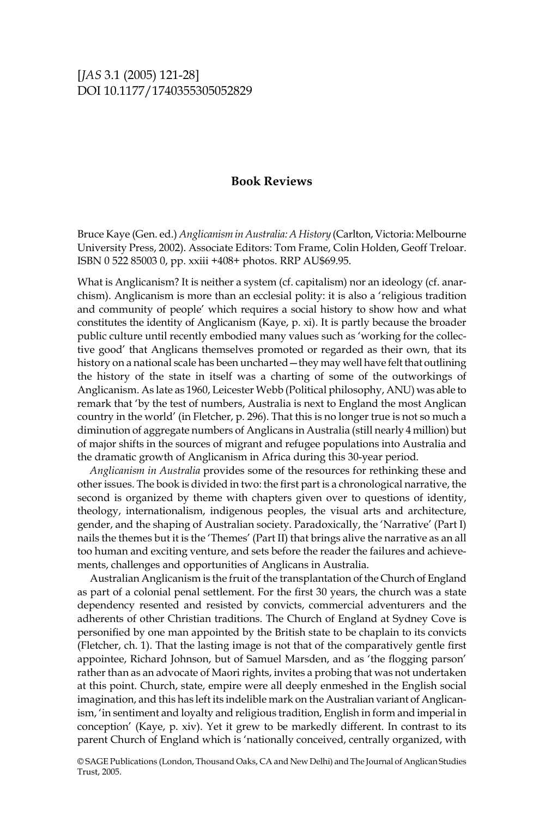## [*JAS* 3.1 (2005) 121-28] DOI 10.1177/1740355305052829

## **Book Reviews**

Bruce Kaye (Gen. ed.) *Anglicanism in Australia: A History* (Carlton, Victoria: Melbourne University Press, 2002). Associate Editors: Tom Frame, Colin Holden, Geoff Treloar. ISBN 0 522 85003 0, pp. xxiii +408+ photos. RRP AU\$69.95.

What is Anglicanism? It is neither a system (cf. capitalism) nor an ideology (cf. anarchism). Anglicanism is more than an ecclesial polity: it is also a 'religious tradition and community of people' which requires a social history to show how and what constitutes the identity of Anglicanism (Kaye, p. xi). It is partly because the broader public culture until recently embodied many values such as 'working for the collective good' that Anglicans themselves promoted or regarded as their own, that its history on a national scale has been uncharted—they may well have felt that outlining the history of the state in itself was a charting of some of the outworkings of Anglicanism. As late as 1960, Leicester Webb (Political philosophy, ANU) was able to remark that 'by the test of numbers, Australia is next to England the most Anglican country in the world' (in Fletcher, p. 296). That this is no longer true is not so much a diminution of aggregate numbers of Anglicans in Australia (still nearly 4 million) but of major shifts in the sources of migrant and refugee populations into Australia and the dramatic growth of Anglicanism in Africa during this 30-year period.

*Anglicanism in Australia* provides some of the resources for rethinking these and other issues. The book is divided in two: the first part is a chronological narrative, the second is organized by theme with chapters given over to questions of identity, theology, internationalism, indigenous peoples, the visual arts and architecture, gender, and the shaping of Australian society. Paradoxically, the 'Narrative' (Part I) nails the themes but it is the 'Themes' (Part II) that brings alive the narrative as an all too human and exciting venture, and sets before the reader the failures and achievements, challenges and opportunities of Anglicans in Australia.

 Australian Anglicanism is the fruit of the transplantation of the Church of England as part of a colonial penal settlement. For the first 30 years, the church was a state dependency resented and resisted by convicts, commercial adventurers and the adherents of other Christian traditions. The Church of England at Sydney Cove is personified by one man appointed by the British state to be chaplain to its convicts (Fletcher, ch. 1). That the lasting image is not that of the comparatively gentle first appointee, Richard Johnson, but of Samuel Marsden, and as 'the flogging parson' rather than as an advocate of Maori rights, invites a probing that was not undertaken at this point. Church, state, empire were all deeply enmeshed in the English social imagination, and this has left its indelible mark on the Australian variant of Anglicanism, 'in sentiment and loyalty and religious tradition, English in form and imperial in conception' (Kaye, p. xiv). Yet it grew to be markedly different. In contrast to its parent Church of England which is 'nationally conceived, centrally organized, with

© SAGE Publications (London, Thousand Oaks, CA and New Delhi) and The Journal of Anglican Studies Trust, 2005.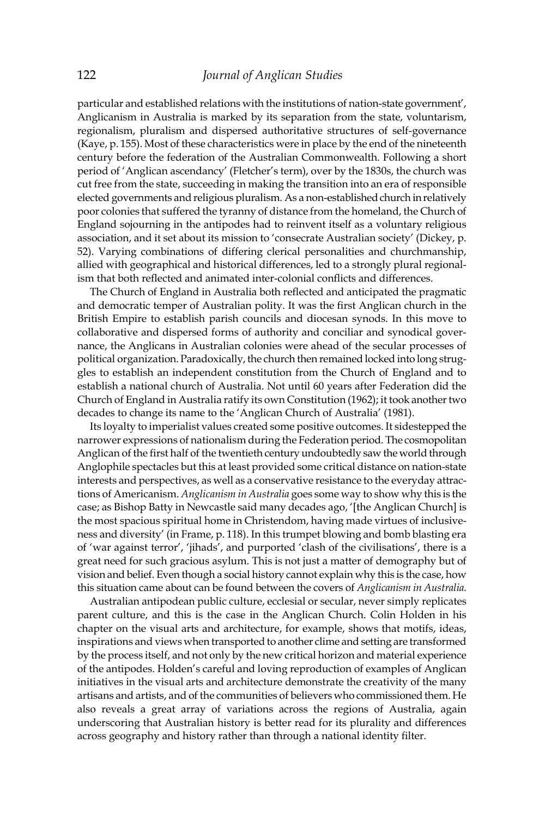particular and established relations with the institutions of nation-state government', Anglicanism in Australia is marked by its separation from the state, voluntarism, regionalism, pluralism and dispersed authoritative structures of self-governance (Kaye, p. 155). Most of these characteristics were in place by the end of the nineteenth century before the federation of the Australian Commonwealth. Following a short period of 'Anglican ascendancy' (Fletcher's term), over by the 1830s, the church was cut free from the state, succeeding in making the transition into an era of responsible elected governments and religious pluralism. As a non-established church in relatively poor colonies that suffered the tyranny of distance from the homeland, the Church of England sojourning in the antipodes had to reinvent itself as a voluntary religious association, and it set about its mission to 'consecrate Australian society' (Dickey, p. 52). Varying combinations of differing clerical personalities and churchmanship, allied with geographical and historical differences, led to a strongly plural regionalism that both reflected and animated inter-colonial conflicts and differences.

 The Church of England in Australia both reflected and anticipated the pragmatic and democratic temper of Australian polity. It was the first Anglican church in the British Empire to establish parish councils and diocesan synods. In this move to collaborative and dispersed forms of authority and conciliar and synodical governance, the Anglicans in Australian colonies were ahead of the secular processes of political organization. Paradoxically, the church then remained locked into long struggles to establish an independent constitution from the Church of England and to establish a national church of Australia. Not until 60 years after Federation did the Church of England in Australia ratify its own Constitution (1962); it took another two decades to change its name to the 'Anglican Church of Australia' (1981).

 Its loyalty to imperialist values created some positive outcomes. It sidestepped the narrower expressions of nationalism during the Federation period. The cosmopolitan Anglican of the first half of the twentieth century undoubtedly saw the world through Anglophile spectacles but this at least provided some critical distance on nation-state interests and perspectives, as well as a conservative resistance to the everyday attractions of Americanism. *Anglicanism in Australia* goes some way to show why this is the case; as Bishop Batty in Newcastle said many decades ago, '[the Anglican Church] is the most spacious spiritual home in Christendom, having made virtues of inclusiveness and diversity' (in Frame, p. 118). In this trumpet blowing and bomb blasting era of 'war against terror', 'jihads', and purported 'clash of the civilisations', there is a great need for such gracious asylum. This is not just a matter of demography but of vision and belief. Even though a social history cannot explain why this is the case, how this situation came about can be found between the covers of *Anglicanism in Australia*.

 Australian antipodean public culture, ecclesial or secular, never simply replicates parent culture, and this is the case in the Anglican Church. Colin Holden in his chapter on the visual arts and architecture, for example, shows that motifs, ideas, inspirations and views when transported to another clime and setting are transformed by the process itself, and not only by the new critical horizon and material experience of the antipodes. Holden's careful and loving reproduction of examples of Anglican initiatives in the visual arts and architecture demonstrate the creativity of the many artisans and artists, and of the communities of believers who commissioned them. He also reveals a great array of variations across the regions of Australia, again underscoring that Australian history is better read for its plurality and differences across geography and history rather than through a national identity filter.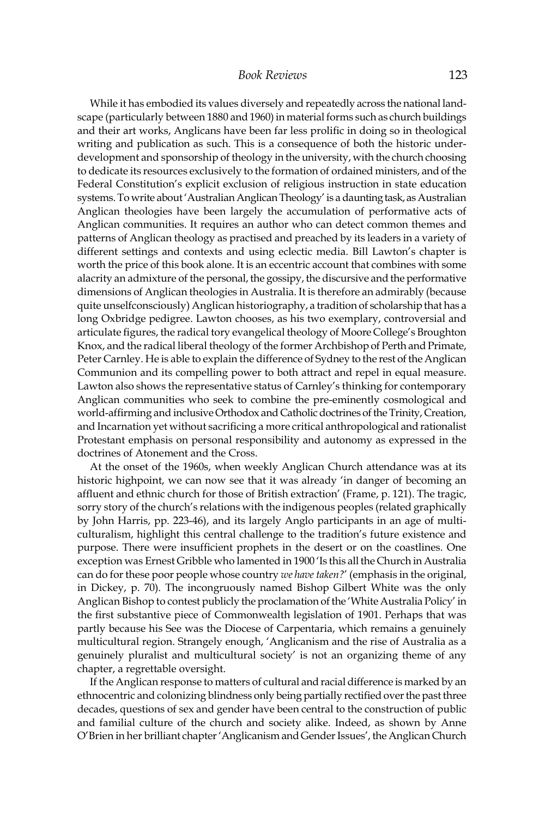## *Book Reviews* 123

 While it has embodied its values diversely and repeatedly across the national landscape (particularly between 1880 and 1960) in material forms such as church buildings and their art works, Anglicans have been far less prolific in doing so in theological writing and publication as such. This is a consequence of both the historic underdevelopment and sponsorship of theology in the university, with the church choosing to dedicate its resources exclusively to the formation of ordained ministers, and of the Federal Constitution's explicit exclusion of religious instruction in state education systems. To write about 'Australian Anglican Theology' is a daunting task, as Australian Anglican theologies have been largely the accumulation of performative acts of Anglican communities. It requires an author who can detect common themes and patterns of Anglican theology as practised and preached by its leaders in a variety of different settings and contexts and using eclectic media. Bill Lawton's chapter is worth the price of this book alone. It is an eccentric account that combines with some alacrity an admixture of the personal, the gossipy, the discursive and the performative dimensions of Anglican theologies in Australia. It is therefore an admirably (because quite unselfconsciously) Anglican historiography, a tradition of scholarship that has a long Oxbridge pedigree. Lawton chooses, as his two exemplary, controversial and articulate figures, the radical tory evangelical theology of Moore College's Broughton Knox, and the radical liberal theology of the former Archbishop of Perth and Primate, Peter Carnley. He is able to explain the difference of Sydney to the rest of the Anglican Communion and its compelling power to both attract and repel in equal measure. Lawton also shows the representative status of Carnley's thinking for contemporary Anglican communities who seek to combine the pre-eminently cosmological and world-affirming and inclusive Orthodox and Catholic doctrines of the Trinity, Creation, and Incarnation yet without sacrificing a more critical anthropological and rationalist Protestant emphasis on personal responsibility and autonomy as expressed in the doctrines of Atonement and the Cross.

 At the onset of the 1960s, when weekly Anglican Church attendance was at its historic highpoint, we can now see that it was already 'in danger of becoming an affluent and ethnic church for those of British extraction' (Frame, p. 121). The tragic, sorry story of the church's relations with the indigenous peoples (related graphically by John Harris, pp. 223-46), and its largely Anglo participants in an age of multiculturalism, highlight this central challenge to the tradition's future existence and purpose. There were insufficient prophets in the desert or on the coastlines. One exception was Ernest Gribble who lamented in 1900 'Is this all the Church in Australia can do for these poor people whose country *we have taken?*' (emphasis in the original, in Dickey, p. 70). The incongruously named Bishop Gilbert White was the only Anglican Bishop to contest publicly the proclamation of the 'White Australia Policy' in the first substantive piece of Commonwealth legislation of 1901. Perhaps that was partly because his See was the Diocese of Carpentaria, which remains a genuinely multicultural region. Strangely enough, 'Anglicanism and the rise of Australia as a genuinely pluralist and multicultural society' is not an organizing theme of any chapter, a regrettable oversight.

 If the Anglican response to matters of cultural and racial difference is marked by an ethnocentric and colonizing blindness only being partially rectified over the past three decades, questions of sex and gender have been central to the construction of public and familial culture of the church and society alike. Indeed, as shown by Anne O'Brien in her brilliant chapter 'Anglicanism and Gender Issues', the Anglican Church